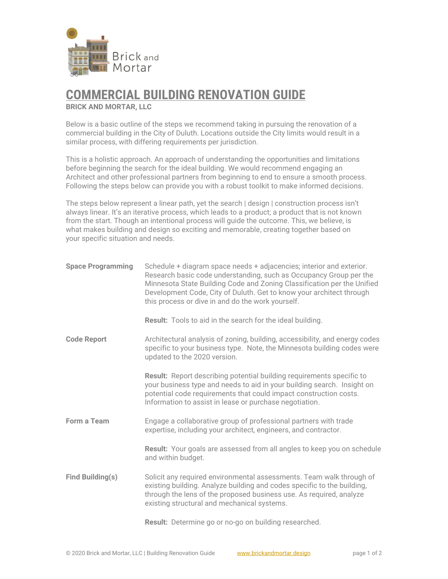

## **COMMERCIAL BUILDING RENOVATION GUIDE**

**BRICK AND MORTAR, LLC**

Below is a basic outline of the steps we recommend taking in pursuing the renovation of a commercial building in the City of Duluth. Locations outside the City limits would result in a similar process, with differing requirements per jurisdiction.

This is a holistic approach. An approach of understanding the opportunities and limitations before beginning the search for the ideal building. We would recommend engaging an Architect and other professional partners from beginning to end to ensure a smooth process. Following the steps below can provide you with a robust toolkit to make informed decisions.

The steps below represent a linear path, yet the search | design | construction process isn't always linear. It's an iterative process, which leads to a product; a product that is not known from the start. Though an intentional process will guide the outcome. This, we believe, is what makes building and design so exciting and memorable, creating together based on your specific situation and needs.

| <b>Space Programming</b> | Schedule + diagram space needs + adjacencies; interior and exterior.<br>Research basic code understanding, such as Occupancy Group per the<br>Minnesota State Building Code and Zoning Classification per the Unified<br>Development Code, City of Duluth. Get to know your architect through<br>this process or dive in and do the work yourself. |
|--------------------------|----------------------------------------------------------------------------------------------------------------------------------------------------------------------------------------------------------------------------------------------------------------------------------------------------------------------------------------------------|
|                          | <b>Result:</b> Tools to aid in the search for the ideal building.                                                                                                                                                                                                                                                                                  |
| <b>Code Report</b>       | Architectural analysis of zoning, building, accessibility, and energy codes<br>specific to your business type. Note, the Minnesota building codes were<br>updated to the 2020 version.                                                                                                                                                             |
|                          | <b>Result:</b> Report describing potential building requirements specific to<br>your business type and needs to aid in your building search. Insight on<br>potential code requirements that could impact construction costs.<br>Information to assist in lease or purchase negotiation.                                                            |
| <b>Form a Team</b>       | Engage a collaborative group of professional partners with trade<br>expertise, including your architect, engineers, and contractor.                                                                                                                                                                                                                |
|                          | Result: Your goals are assessed from all angles to keep you on schedule<br>and within budget.                                                                                                                                                                                                                                                      |
| Find Building(s)         | Solicit any required environmental assessments. Team walk through of<br>existing building. Analyze building and codes specific to the building,<br>through the lens of the proposed business use. As required, analyze<br>existing structural and mechanical systems.                                                                              |
|                          | Result: Determine go or no-go on building researched.                                                                                                                                                                                                                                                                                              |